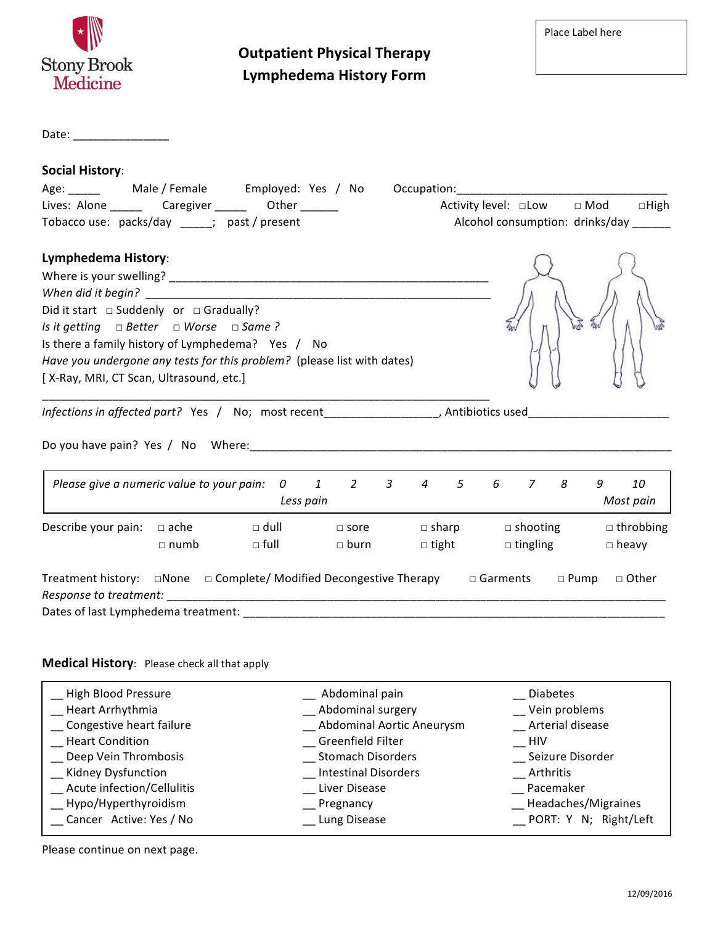| <b>Stony Brook</b><br><b>Medicine</b>                                                                                                                                                                                                                                                                        |                                                 | <b>Outpatient Physical Therapy</b><br><b>Lymphedema History Form</b> |                              |                                    |                 | Place Label here                                                            |
|--------------------------------------------------------------------------------------------------------------------------------------------------------------------------------------------------------------------------------------------------------------------------------------------------------------|-------------------------------------------------|----------------------------------------------------------------------|------------------------------|------------------------------------|-----------------|-----------------------------------------------------------------------------|
| Date: ________________                                                                                                                                                                                                                                                                                       |                                                 |                                                                      |                              |                                    |                 |                                                                             |
| <b>Social History:</b><br>Age: ________  Male / Female    Employed: Yes / No                 Occupation: ____________________<br>Lives: Alone __________ Caregiver _________ Other ________<br>Tobacco use: packs/day _____; past / present                                                                  |                                                 |                                                                      |                              |                                    |                 | Activity level: □Low □ Mod □ High<br>Alcohol consumption: drinks/day ______ |
| Lymphedema History:<br>Did it start $\Box$ Suddenly or $\Box$ Gradually?<br>Is it getting $\Box$ Better $\Box$ Worse $\Box$ Same?<br>Is there a family history of Lymphedema? Yes / No<br>Have you undergone any tests for this problem? (please list with dates)<br>[X-Ray, MRI, CT Scan, Ultrasound, etc.] |                                                 |                                                                      |                              |                                    |                 |                                                                             |
| Infections in affected part? Yes / No; most recent__________________, Antibiotics used_____________                                                                                                                                                                                                          |                                                 |                                                                      |                              |                                    |                 |                                                                             |
|                                                                                                                                                                                                                                                                                                              |                                                 |                                                                      |                              |                                    |                 |                                                                             |
| Please give a numeric value to your pain: 0 1 2 3                                                                                                                                                                                                                                                            |                                                 | Less pain                                                            | $4\quad 5$                   | 6 7                                | 8               | 9<br>10<br>Most pain                                                        |
| Describe your pain: $\Box$ ache $\Box$ dull $\Box$ sore<br>$\Box$ numb                                                                                                                                                                                                                                       | $\Box$ full                                     | $\Box$ burn                                                          | $\Box$ sharp<br>$\Box$ tight | $\Box$ shooting<br>$\Box$ tingling |                 | $\Box$ throbbing<br>$\Box$ heavy                                            |
| Treatment history:<br>Response to treatment:                                                                                                                                                                                                                                                                 | □None □ Complete/ Modified Decongestive Therapy |                                                                      |                              | □ Garments                         | $\Box$ Pump     | □ Other                                                                     |
| Medical History: Please check all that apply                                                                                                                                                                                                                                                                 |                                                 |                                                                      |                              |                                    |                 |                                                                             |
| High Blood Pressure                                                                                                                                                                                                                                                                                          |                                                 | Abdominal pain                                                       |                              |                                    | <b>Diabetes</b> |                                                                             |

| __ High Blood Pressure     | __ Abdominal pain           | <b>Diabetes</b>       |
|----------------------------|-----------------------------|-----------------------|
| Heart Arrhythmia           | Abdominal surgery           | Vein problems         |
| Congestive heart failure   | Abdominal Aortic Aneurysm   | Arterial disease      |
| <b>Heart Condition</b>     | Greenfield Filter           | $\_$ HIV              |
| Deep Vein Thrombosis       | <b>Stomach Disorders</b>    | Seizure Disorder      |
| __ Kidney Dysfunction      | <b>Intestinal Disorders</b> | Arthritis             |
| Acute infection/Cellulitis | Liver Disease               | __ Pacemaker          |
| __ Hypo/Hyperthyroidism    | $\equiv$ Pregnancy          | Headaches/Migraines   |
| Cancer Active: Yes / No    | _ Lung Disease              | PORT: Y N; Right/Left |

Please continue on next page.